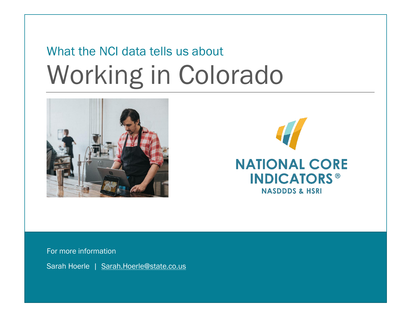# What the NCI data tells us about Working in Colorado





For more information

Sarah Hoerle | [Sarah.Hoerle@state.co.us](mailto:Sarah.Hoerle@state.co.us)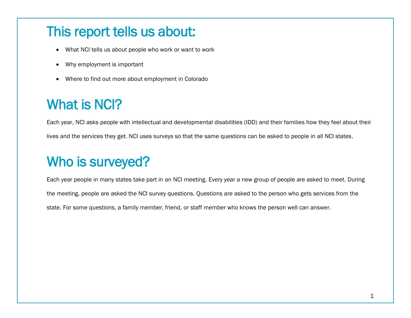## This report tells us about:

- What NCI tells us about people who work or want to work
- Why employment is important
- Where to find out more about employment in Colorado

# What is NCI?

Each year, NCI asks people with intellectual and developmental disabilities (IDD) and their families how they feel about their lives and the services they get. NCI uses surveys so that the same questions can be asked to people in all NCI states.

# Who is surveyed?

Each year people in many states take part in an NCI meeting. Every year a new group of people are asked to meet. During the meeting, people are asked the NCI survey questions. Questions are asked to the person who gets services from the state. For some questions, a family member, friend, or staff member who knows the person well can answer.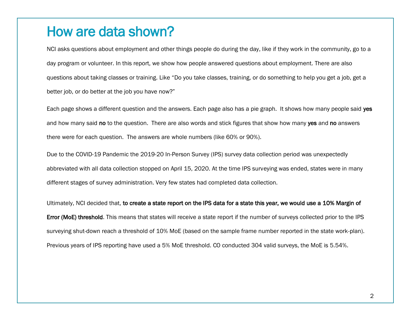#### How are data shown?

NCI asks questions about employment and other things people do during the day, like if they work in the community, go to a day program or volunteer. In this report, we show how people answered questions about employment. There are also questions about taking classes or training. Like "Do you take classes, training, or do something to help you get a job, get a better job, or do better at the job you have now?"

Each page shows a different question and the answers. Each page also has a pie graph. It shows how many people said yes and how many said no to the question. There are also words and stick figures that show how many yes and no answers there were for each question. The answers are whole numbers (like 60% or 90%).

Due to the COVID-19 Pandemic the 2019-20 In-Person Survey (IPS) survey data collection period was unexpectedly abbreviated with all data collection stopped on April 15, 2020. At the time IPS surveying was ended, states were in many different stages of survey administration. Very few states had completed data collection.

Ultimately, NCI decided that, to create a state report on the IPS data for a state this year, we would use a 10% Margin of Error (MoE) threshold. This means that states will receive a state report if the number of surveys collected prior to the IPS surveying shut-down reach a threshold of 10% MoE (based on the sample frame number reported in the state work-plan). Previous years of IPS reporting have used a 5% MoE threshold. CO conducted 304 valid surveys, the MoE is 5.54%.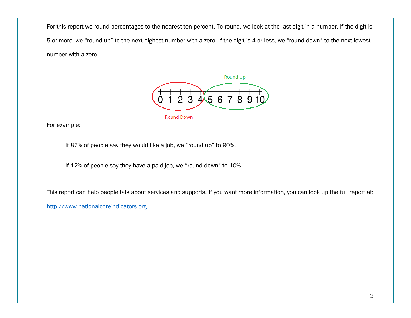For this report we round percentages to the nearest ten percent. To round, we look at the last digit in a number. If the digit is 5 or more, we "round up" to the next highest number with a zero. If the digit is 4 or less, we "round down" to the next lowest number with a zero.



For example:

If 87% of people say they would like a job, we "round up" to 90%.

If 12% of people say they have a paid job, we "round down" to 10%.

This report can help people talk about services and supports. If you want more information, you can look up the full report at:

[http://www.nationalcoreindicators.org](http://www.nationalcoreindicators.org/)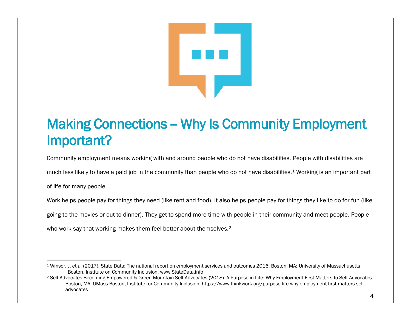

# Making Connections - Why Is Community Employment Important?

Community employment means working with and around people who do not have disabilities. People with disabilities are

much less likely to have a paid job in the community than people who do not have disabilities.<sup>1</sup> Working is an important part

of life for many people.

 $\overline{a}$ 

Work helps people pay for things they need (like rent and food). It also helps people pay for things they like to do for fun (like

going to the movies or out to dinner). They get to spend more time with people in their community and meet people. People

who work say that working makes them feel better about themselves.<sup>2</sup>

<sup>1</sup> Winsor, J. et al (2017). State Data: The national report on employment services and outcomes 2016. Boston, MA: University of Massachusetts Boston, Institute on Community Inclusion. www.StateData.info

<sup>2</sup> Self-Advocates Becoming Empowered & Green Mountain Self-Advocates (2018). A Purpose in Life: Why Employment First Matters to Self-Advocates. Boston, MA: UMass Boston, Institute for Community Inclusion. https://www.thinkwork.org/purpose-life-why-employment-first-matters-selfadvocates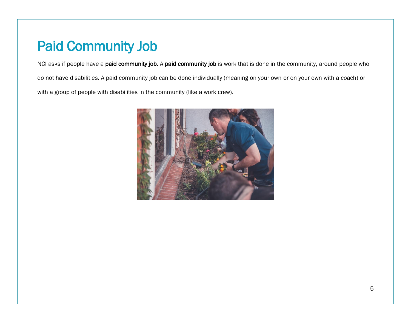## Paid Community Job

NCI asks if people have a paid community job. A paid community job is work that is done in the community, around people who do not have disabilities. A paid community job can be done individually (meaning on your own or on your own with a coach) or with a group of people with disabilities in the community (like a work crew).

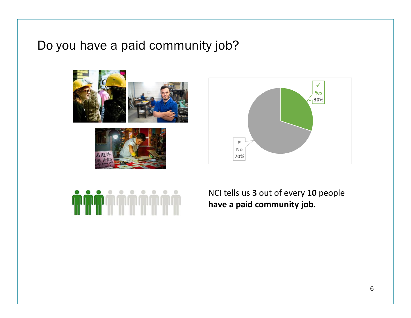#### Do you have a paid community job?









NCI tells us **3** out of every **10** people **have a paid community job.**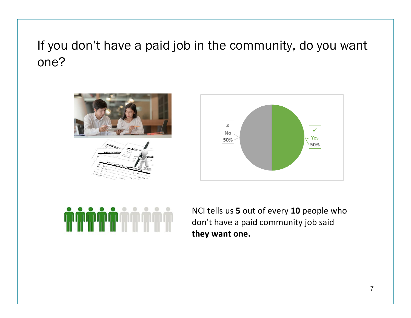# If you don't have a paid job in the community, do you want one?









NCI tells us **5** out of every **10** people who don't have a paid community job said **they want one.**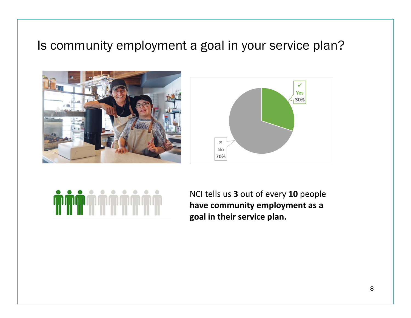#### Is community employment a goal in your service plan?







NCI tells us **3** out of every **10** people **have community employment as a goal in their service plan.**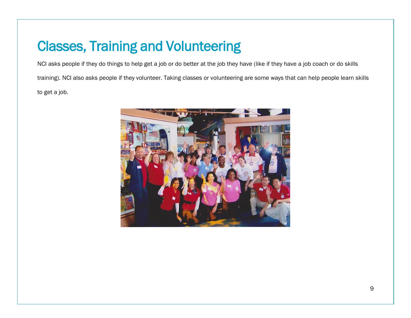## Classes, Training and Volunteering

NCI asks people if they do things to help get a job or do better at the job they have (like if they have a job coach or do skills training). NCI also asks people if they volunteer. Taking classes or volunteering are some ways that can help people learn skills to get a job.

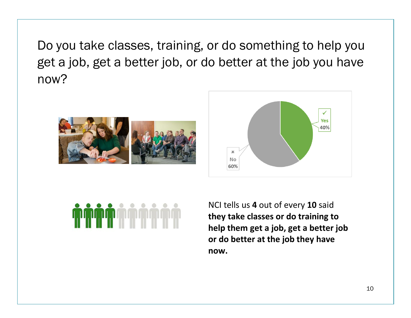Do you take classes, training, or do something to help you get a job, get a better job, or do better at the job you have now?







NCI tells us **4** out of every **10** said **they take classes or do training to help them get a job, get a better job or do better at the job they have now.**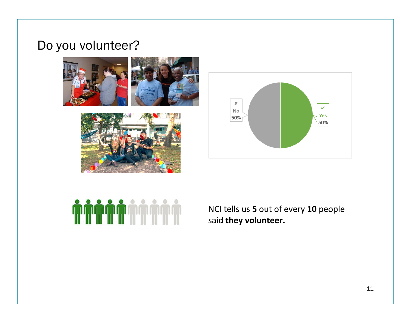#### Do you volunteer?









NCI tells us **5** out of every **10** people said **they volunteer.**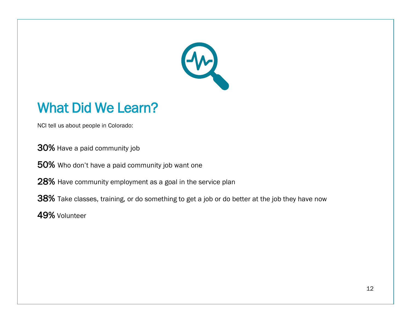

## What Did We Learn?

NCI tell us about people in Colorado:

30% Have a paid community job

50% Who don't have a paid community job want one

28% Have community employment as a goal in the service plan

38% Take classes, training, or do something to get a job or do better at the job they have now

49% Volunteer